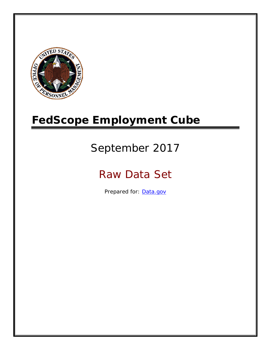

# **FedScope Employment Cube**

# September 2017

# Raw Data Set

Prepared for: [Data.gov](http://www.data.gov/)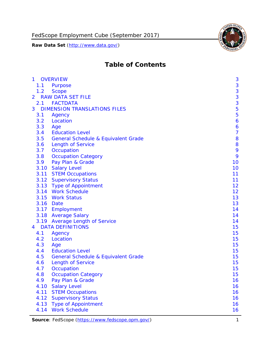

# **Table of Contents**

| $\mathbf{1}$   | <b>OVERVIEW</b>                                | 3              |
|----------------|------------------------------------------------|----------------|
| 1.1            | Purpose                                        | 3              |
| 1.2            | <b>Scope</b>                                   | 3              |
| $\overline{2}$ | <b>RAW DATA SET FILE</b>                       | 3              |
|                | 2.1 FACTDATA                                   | 3              |
| 3              | <b>DIMENSION TRANSLATIONS FILES</b>            | 5              |
| 3.1            | Agency                                         | 5              |
| 3.2            | Location                                       | 6              |
| 3.3            | Age                                            | 6              |
| 3.4            | <b>Education Level</b>                         | $\overline{7}$ |
| 3.5            | <b>General Schedule &amp; Equivalent Grade</b> | 8              |
| 3.6            | <b>Length of Service</b>                       | 8              |
| 3.7            | Occupation                                     | 9              |
| 3.8            | <b>Occupation Category</b>                     | 9              |
| 3.9            | Pay Plan & Grade                               | 10             |
| 3.10           | <b>Salary Level</b>                            | 10             |
| 3.11           | <b>STEM Occupations</b>                        | 11             |
|                | 3.12 Supervisory Status                        | 11             |
|                | 3.13 Type of Appointment                       | 12             |
|                | 3.14 Work Schedule                             | 12             |
| 3.15           | <b>Work Status</b>                             | 13             |
|                | 3.16 Date                                      | 13             |
|                | 3.17 Employment                                | 14             |
|                | 3.18 Average Salary                            | 14             |
|                | 3.19 Average Length of Service                 | 14             |
| $\overline{4}$ | <b>DATA DEFINITIONS</b>                        | 15             |
| 4.1            | Agency                                         | 15             |
| 4.2            | Location                                       | 15             |
| 4.3            | Age                                            | 15             |
| 4.4            | <b>Education Level</b>                         | 15             |
| 4.5            | <b>General Schedule &amp; Equivalent Grade</b> | 15             |
| 4.6            | <b>Length of Service</b>                       | 15             |
| 4.7            | Occupation                                     | 15             |
| 4.8            | <b>Occupation Category</b>                     | 15             |
| 4.9            | Pay Plan & Grade                               | 16             |
| 4.10           | <b>Salary Level</b>                            | 16             |
| 4.11           | <b>STEM Occupations</b>                        | 16             |
| 4.12           | <b>Supervisory Status</b>                      | 16             |
| 4.13           | <b>Type of Appointment</b>                     | 16             |
| 4.14           | <b>Work Schedule</b>                           | 16             |

Source: FedScope [\(https://www.fedscope.opm.gov/\)](https://www.fedscope.opm.gov/) 1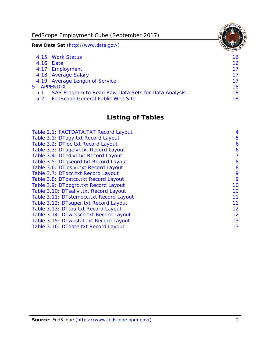FedScope Employment Cube (September 2017)

**Raw Data Set** (http://www.data.gov/)

|               | 4.15 Work Status                                    | 16. |
|---------------|-----------------------------------------------------|-----|
|               | 4.16 Date                                           | 16  |
|               | 4.17 Employment                                     | 17  |
|               | 4.18 Average Salary                                 | 17  |
|               | 4.19 Average Length of Service                      | 17  |
|               | 5 APPENDIX                                          | 18  |
| 5.1           | SAS Program to Read Raw Data Sets for Data Analysis | 18  |
| $5.2^{\circ}$ | <b>FedScope General Public Web Site</b>             | 18. |
|               |                                                     |     |

# **Listing of Tables**

| Table 2.1: FACTDATA.TXT Record Layout   | 4  |
|-----------------------------------------|----|
| Table 3.1: DTagy.txt Record Layout      | 5  |
| Table 3.2: DTloc.txt Record Layout      | 6  |
| Table 3.3: DTagelvl.txt Record Layout   | 6  |
| Table 3.4: DTedlvl.txt Record Layout    | 7  |
| Table 3.5: DTgsegrd.txt Record Layout   | 8  |
| Table 3.6: DTloslvl.txt Record Layout   | 8  |
| Table 3.7: DTocc.txt Record Layout      | 9  |
| Table 3.8: DTpatco.txt Record Layout    | 9  |
| Table 3.9: DTppgrd.txt Record Layout    | 10 |
| Table 3.10: DTsallvl.txt Record Layout  | 10 |
| Table 3.11: DTstemocc.txt Record Layout | 11 |
| Table 3.12: DTsuper.txt Record Layout   | 11 |
| Table 3.13: DTtoa.txt Record Layout     | 12 |
| Table 3.14: DTwrksch.txt Record Layout  | 12 |
| Table 3.15: DTwkstat.txt Record Layout  | 13 |
| Table 3.16: DTdate.txt Record Layout    | 13 |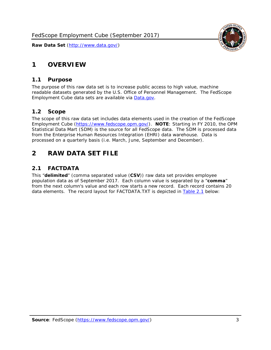## <span id="page-3-0"></span>**1 OVERVIEW**

## <span id="page-3-1"></span>*1.1 Purpose*

The purpose of this raw data set is to increase public access to high value, machine readable datasets generated by the U.S. Office of Personnel Management. The FedScope Employment Cube data sets are available via [Data.gov.](http://www.data.gov/)

## <span id="page-3-2"></span>*1.2 Scope*

The scope of this raw data set includes data elements used in the creation of the FedScope Employment Cube [\(https://www.fedscope.opm.gov/\)](https://www.fedscope.opm.gov/). **NOTE**: Starting in FY 2010, the OPM Statistical Data Mart (SDM) is the source for all FedScope data. The SDM is processed data from the Enterprise Human Resources Integration (EHRI) data warehouse. Data is processed on a quarterly basis (i.e. March, June, September and December).

## <span id="page-3-3"></span>**2 RAW DATA SET FILE**

## <span id="page-3-4"></span>*2.1 FACTDATA*

This "**delimited**" (comma separated value (**CSV**)) raw data set provides employee population data as of September 2017. Each column value is separated by a "**comma**" from the next column's value and each row starts a new record. Each record contains 20 data elements. The record layout for FACTDATA.TXT is depicted in [Table 2.1](#page-4-0) below:

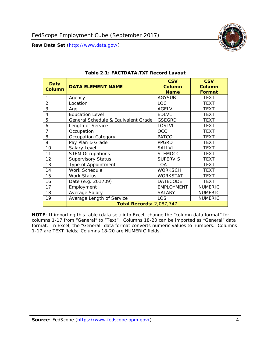

<span id="page-4-0"></span>

| Data<br><b>Column</b> | <b>DATA ELEMENT NAME</b>            | <b>CSV</b><br><b>Column</b><br><b>Name</b> | <b>CSV</b><br>Column<br><b>Format</b> |
|-----------------------|-------------------------------------|--------------------------------------------|---------------------------------------|
| 1                     | Agency                              | <b>AGYSUB</b>                              | <b>TEXT</b>                           |
| $\overline{2}$        | Location                            | <b>LOC</b>                                 | <b>TEXT</b>                           |
| 3                     | Age                                 | <b>AGELVL</b>                              | <b>TEXT</b>                           |
| 4                     | <b>Education Level</b>              | <b>EDLVL</b>                               | <b>TEXT</b>                           |
| 5                     | General Schedule & Equivalent Grade | <b>GSEGRD</b>                              | <b>TEXT</b>                           |
| 6                     | Length of Service                   | LOSLVL                                     | <b>TEXT</b>                           |
| 7                     | Occupation                          | OCC                                        | <b>TEXT</b>                           |
| 8                     | <b>Occupation Category</b>          | <b>PATCO</b>                               | <b>TEXT</b>                           |
| 9                     | Pay Plan & Grade                    | <b>PPGRD</b>                               | <b>TEXT</b>                           |
| 10                    | Salary Level                        | <b>SALLVL</b>                              | <b>TEXT</b>                           |
| 11                    | <b>STEM Occupations</b>             | <b>STEMOCC</b>                             | <b>TEXT</b>                           |
| 12                    | <b>Supervisory Status</b>           | <b>SUPERVIS</b>                            | <b>TEXT</b>                           |
| 13                    | Type of Appointment                 | <b>TOA</b>                                 | <b>TEXT</b>                           |
| 14                    | Work Schedule                       | <b>WORKSCH</b>                             | <b>TEXT</b>                           |
| 15                    | Work Status                         | <b>WORKSTAT</b>                            | <b>TEXT</b>                           |
| 16                    | Date (e.g. 201709)                  | <b>DATECODE</b>                            | <b>TEXT</b>                           |
| 17                    | Employment                          | <b>EMPLOYMENT</b>                          | <b>NUMERIC</b>                        |
| 18                    | Average Salary                      | <b>SALARY</b>                              | <b>NUMERIC</b>                        |
| 19                    | Average Length of Service           | LOS                                        | <b>NUMERIC</b>                        |
|                       | <b>Total Records: 2,087,747</b>     |                                            |                                       |

#### **Table 2.1: FACTDATA.TXT Record Layout**

**NOTE**: If importing this table (data set) into Excel, change the "column data format" for columns 1-17 from "General" to "Text". Columns 18-20 can be imported as "General" data format. In Excel, the "General" data format converts numeric values to numbers. Columns 1-17 are TEXT fields; Columns 18-20 are NUMERIC fields.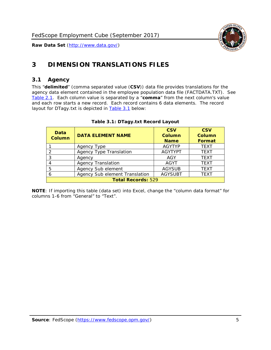

## <span id="page-5-0"></span>**3 DIMENSION TRANSLATIONS FILES**

## <span id="page-5-1"></span>*3.1 Agency*

This "**delimited**" (comma separated value (**CSV**)) data file provides translations for the agency data element contained in the employee population data file (FACTDATA.TXT). See [Table](#page-4-0) 2.1. Each column value is separated by a "**comma**" from the next column's value and each row starts a new record. Each record contains 6 data elements. The record layout for DTagy.txt is depicted in **[Table 3.1](#page-5-2)** below:

<span id="page-5-2"></span>

| <b>Data</b><br><b>Column</b> | <b>DATA ELEMENT NAME</b>       | <b>CSV</b><br>Column<br><b>Name</b> | <b>CSV</b><br><b>Column</b><br><b>Format</b> |
|------------------------------|--------------------------------|-------------------------------------|----------------------------------------------|
|                              | Agency Type                    | <b>AGYTYP</b>                       | <b>TEXT</b>                                  |
| 2                            | <b>Agency Type Translation</b> | <b>AGYTYPT</b>                      | <b>TEXT</b>                                  |
| 3                            | Agency                         | AGY                                 | <b>TEXT</b>                                  |
| 4                            | <b>Agency Translation</b>      | <b>AGYT</b>                         | <b>TEXT</b>                                  |
| 5                            | Agency Sub element             | <b>AGYSUB</b>                       | <b>TEXT</b>                                  |
| 6                            | Agency Sub element Translation | <b>AGYSUBT</b>                      | <b>TEXT</b>                                  |
| <b>Total Records: 529</b>    |                                |                                     |                                              |

#### **Table 3.1: DTagy.txt Record Layout**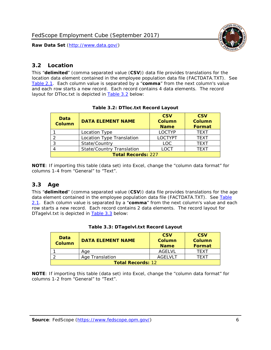<span id="page-6-0"></span>

This "**delimited**" (comma separated value (**CSV**)) data file provides translations for the location data element contained in the employee population data file (FACTDATA.TXT). See [Table 2.1.](#page-4-0) Each column value is separated by a "**comma**" from the next column's value and each row starts a new record. Each record contains 4 data elements. The record layout for DTloc.txt is depicted in **Table 3.2** below:

<span id="page-6-2"></span>

| Data<br><b>Column</b>                    | <b>DATA ELEMENT NAME</b>  | <b>CSV</b><br><b>Column</b><br><b>Name</b> | <b>CSV</b><br><b>Column</b><br><b>Format</b> |
|------------------------------------------|---------------------------|--------------------------------------------|----------------------------------------------|
|                                          | Location Type             | <b>LOCTYP</b>                              | <b>TEXT</b>                                  |
|                                          | Location Type Translation | <b>LOCTYPT</b>                             | <b>TFXT</b>                                  |
| 3                                        | State/Country             | <b>LOC</b>                                 | <b>TEXT</b>                                  |
| LOCT<br><b>State/Country Translation</b> |                           |                                            | <b>TFXT</b>                                  |
| <b>Total Records: 227</b>                |                           |                                            |                                              |

#### **Table 3.2: DTloc.txt Record Layout**

**NOTE**: If importing this table (data set) into Excel, change the "column data format" for columns 1-4 from "General" to "Text".

## <span id="page-6-1"></span>*3.3 Age*

This "**delimited**" (comma separated value (**CSV**)) data file provides translations for the age data element contained in the employee population data file (FACTDATA.TXT). See Table [2.1.](#page-4-0) Each column value is separated by a "**comma**" from the next column's value and each row starts a new record. Each record contains 2 data elements. The record layout for DTagelvl.txt is depicted in **Table 3.3** below:

<span id="page-6-3"></span>

| Data<br><b>Column</b>    | <b>DATA ELEMENT NAME</b> | <b>CSV</b><br>Column<br><b>Name</b> | <b>CSV</b><br>Column<br>Format |
|--------------------------|--------------------------|-------------------------------------|--------------------------------|
|                          | Aae                      | AGFI VI                             | TFXT                           |
|                          | Age Translation          | AGFI VI T                           | TFXT                           |
| <b>Total Records: 12</b> |                          |                                     |                                |

|  |  | Table 3.3: DTagelvl.txt Record Layout |  |
|--|--|---------------------------------------|--|
|  |  |                                       |  |

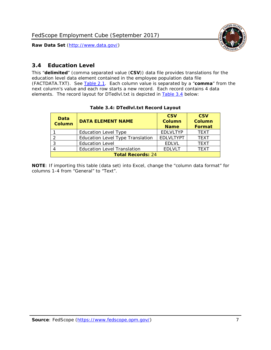

## <span id="page-7-0"></span>*3.4 Education Level*

This "**delimited**" (comma separated value (**CSV**)) data file provides translations for the education level data element contained in the employee population data file (FACTDATA.TXT). See [Table 2.1.](#page-4-0) Each column value is separated by a "**comma**" from the next column's value and each row starts a new record. Each record contains 4 data elements. The record layout for DTedlvl.txt is depicted in [Table 3.4](#page-7-1) below:

<span id="page-7-1"></span>

| Data<br><b>Column</b>    | <b>DATA ELEMENT NAME</b>                | <b>CSV</b><br><b>Column</b><br><b>Name</b> | <b>CSV</b><br><b>Column</b><br><b>Format</b> |
|--------------------------|-----------------------------------------|--------------------------------------------|----------------------------------------------|
|                          | <b>Education Level Type</b>             | <b>EDLVLTYP</b>                            | <b>TEXT</b>                                  |
|                          | <b>Education Level Type Translation</b> | <b>EDLVLTYPT</b>                           | <b>TEXT</b>                                  |
|                          | <b>Education Level</b>                  | <b>EDLVL</b>                               | <b>TEXT</b>                                  |
|                          | <b>Education Level Translation</b>      | <b>EDLVLT</b>                              | <b>TFXT</b>                                  |
| <b>Total Records: 24</b> |                                         |                                            |                                              |

#### **Table 3.4: DTedlvl.txt Record Layout**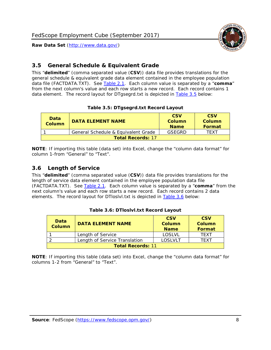

## <span id="page-8-0"></span>*3.5 General Schedule & Equivalent Grade*

This "**delimited**" (comma separated value (**CSV**)) data file provides translations for the general schedule & equivalent grade data element contained in the employee population data file (FACTDATA.TXT). See [Table 2.1.](#page-4-0) Each column value is separated by a "**comma**" from the next column's value and each row starts a new record. Each record contains 1 data element. The record layout for DTgsegrd.txt is depicted in [Table 3.5](#page-8-2) below:

#### **Table 3.5: DTgsegrd.txt Record Layout**

<span id="page-8-2"></span>

| <b>Data</b><br>Column | <b>DATA ELEMENT NAME</b>            | <b>CSV</b><br>Column<br><b>Name</b> | <b>CSV</b><br>Column<br><b>Format</b> |  |
|-----------------------|-------------------------------------|-------------------------------------|---------------------------------------|--|
|                       | General Schedule & Equivalent Grade | GSEGRD                              | TFXT                                  |  |
|                       | <b>Total Records: 17</b>            |                                     |                                       |  |

**NOTE**: If importing this table (data set) into Excel, change the "column data format" for column 1-from "General" to "Text".

## <span id="page-8-1"></span>*3.6 Length of Service*

This "**delimited**" (comma separated value (**CSV**)) data file provides translations for the length of service data element contained in the employee population data file (FACTDATA.TXT). See [Table 2.1.](#page-4-0) Each column value is separated by a "**comma**" from the next column's value and each row starts a new record. Each record contains 2 data elements. The record layout for DTloslvl.txt is depicted in [Table 3.6](#page-8-3) below:

<span id="page-8-3"></span>

| <b>Data</b><br>Column    | <b>DATA ELEMENT NAME</b>      | <b>CSV</b><br>Column<br><b>Name</b> | <b>CSV</b><br>Column<br>Format |
|--------------------------|-------------------------------|-------------------------------------|--------------------------------|
|                          | Length of Service             | LOSLVL                              | TFXT                           |
|                          | Length of Service Translation | LOSLVLT                             | TFXT                           |
| <b>Total Records: 11</b> |                               |                                     |                                |

| Table 3.6: DTloslvl.txt Record Layout |  |
|---------------------------------------|--|
|---------------------------------------|--|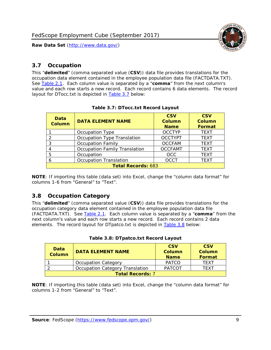

## <span id="page-9-0"></span>*3.7 Occupation*

This "**delimited**" (comma separated value (**CSV**)) data file provides translations for the occupation data element contained in the employee population data file (FACTDATA.TXT). See [Table 2.1.](#page-4-0) Each column value is separated by a "**comma**" from the next column's value and each row starts a new record. Each record contains 6 data elements. The record layout for DTocc.txt is depicted in [Table 3.7](#page-9-2) below:

<span id="page-9-2"></span>

| <b>Data</b><br><b>Column</b> | <b>DATA ELEMENT NAME</b>             | <b>CSV</b><br><b>Column</b><br><b>Name</b> | <b>CSV</b><br><b>Column</b><br>Format |  |
|------------------------------|--------------------------------------|--------------------------------------------|---------------------------------------|--|
|                              | Occupation Type                      | <b>OCCTYP</b>                              | <b>TEXT</b>                           |  |
|                              | Occupation Type Translation          | <b>OCCTYPT</b>                             | <b>TEXT</b>                           |  |
| 3                            | <b>Occupation Family</b>             | <b>OCCFAM</b>                              | <b>TEXT</b>                           |  |
|                              | <b>Occupation Family Translation</b> | <b>OCCFAMT</b>                             | <b>TEXT</b>                           |  |
| 5                            | Occupation                           | <b>OCC</b>                                 | <b>TEXT</b>                           |  |
|                              | <b>Occupation Translation</b>        | <b>OCCT</b>                                | <b>TEXT</b>                           |  |
| <b>Total Records: 683</b>    |                                      |                                            |                                       |  |

#### **Table 3.7: DTocc.txt Record Layout**

**NOTE**: If importing this table (data set) into Excel, change the "column data format" for columns 1-6 from "General" to "Text".

## <span id="page-9-1"></span>*3.8 Occupation Category*

This "**delimited**" (comma separated value (**CSV**)) data file provides translations for the occupation category data element contained in the employee population data file (FACTDATA.TXT). See [Table 2.1.](#page-4-0) Each column value is separated by a "**comma**" from the next column's value and each row starts a new record. Each record contains 2 data elements. The record layout for DTpatco.txt is depicted in [Table 3.8](#page-9-3) below:

<span id="page-9-3"></span>

| Data<br><b>Column</b>   | <b>DATA ELEMENT NAME</b>        | <b>CSV</b><br>Column<br><b>Name</b> | <b>CSV</b><br>Column<br><b>Format</b> |
|-------------------------|---------------------------------|-------------------------------------|---------------------------------------|
|                         | <b>Occupation Category</b>      | <b>PATCO</b>                        | <b>TFXT</b>                           |
|                         | Occupation Category Translation | <b>PATCOT</b>                       | TFXT                                  |
| <b>Total Records: 7</b> |                                 |                                     |                                       |

#### **Table 3.8: DTpatco.txt Record Layout**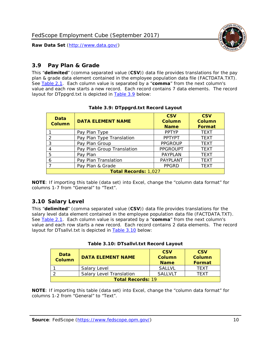

## <span id="page-10-0"></span>*3.9 Pay Plan & Grade*

This "**delimited**" (comma separated value (**CSV**)) data file provides translations for the pay plan & grade data element contained in the employee population data file (FACTDATA.TXT). See [Table 2.1.](#page-4-0) Each column value is separated by a "**comma**" from the next column's value and each row starts a new record. Each record contains 7 data elements. The record layout for DTppgrd.txt is depicted in **Table 3.9** below:

<span id="page-10-2"></span>

| Data<br>Column              | <b>DATA ELEMENT NAME</b>   | <b>CSV</b><br><b>Column</b><br><b>Name</b> | <b>CSV</b><br><b>Column</b><br><b>Format</b> |  |
|-----------------------------|----------------------------|--------------------------------------------|----------------------------------------------|--|
|                             | Pay Plan Type              | <b>PPTYP</b>                               | <b>TEXT</b>                                  |  |
| $\mathcal{P}$               | Pay Plan Type Translation  | <b>PPTYPT</b>                              | <b>TEXT</b>                                  |  |
| 3                           | Pay Plan Group             | <b>PPGROUP</b>                             | <b>TEXT</b>                                  |  |
| 4                           | Pay Plan Group Translation | <b>PPGROUPT</b>                            | <b>TEXT</b>                                  |  |
| 5                           | Pay Plan                   | PAYPLAN                                    | <b>TEXT</b>                                  |  |
| 6                           | Pay Plan Translation       | PAYPLANT                                   | <b>TEXT</b>                                  |  |
|                             | Pay Plan & Grade           | <b>PPGRD</b>                               | <b>TEXT</b>                                  |  |
| <b>Total Records: 1,027</b> |                            |                                            |                                              |  |

#### **Table 3.9: DTppgrd.txt Record Layout**

**NOTE**: If importing this table (data set) into Excel, change the "column data format" for columns 1-7 from "General" to "Text".

## <span id="page-10-1"></span>*3.10 Salary Level*

This "**delimited**" (comma separated value (**CSV**)) data file provides translations for the salary level data element contained in the employee population data file (FACTDATA.TXT). See [Table 2.1.](#page-4-0) Each column value is separated by a "**comma**" from the next column's value and each row starts a new record. Each record contains 2 data elements. The record layout for DTsallvl.txt is depicted in **Table 3.10** below:

<span id="page-10-3"></span>

| <b>Data</b><br>Column    | <b>DATA ELEMENT NAME</b>        | <b>CSV</b><br>Column<br><b>Name</b> | <b>CSV</b><br>Column<br><b>Format</b> |
|--------------------------|---------------------------------|-------------------------------------|---------------------------------------|
|                          | Salary Level                    | SALL VI                             | <b>TFXT</b>                           |
|                          | <b>Salary Level Translation</b> | <b>SALLVLT</b>                      | <b>TFXT</b>                           |
| <b>Total Records: 19</b> |                                 |                                     |                                       |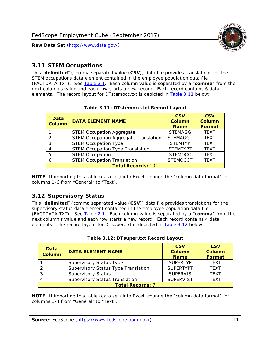

## <span id="page-11-0"></span>*3.11 STEM Occupations*

This "**delimited**" (comma separated value (**CSV**)) data file provides translations for the STEM occupations data element contained in the employee population data file (FACTDATA.TXT). See [Table 2.1.](#page-4-0) Each column value is separated by a "**comma**" from the next column's value and each row starts a new record. Each record contains 6 data elements. The record layout for DTstemocc.txt is depicted in [Table 3.11](#page-11-2) below:

<span id="page-11-2"></span>

| Data<br><b>Column</b>     | <b>DATA ELEMENT NAME</b>                     | <b>CSV</b><br>Column<br><b>Name</b> | <b>CSV</b><br><b>Column</b><br>Format |  |
|---------------------------|----------------------------------------------|-------------------------------------|---------------------------------------|--|
|                           | <b>STEM Occupation Aggregate</b>             | <b>STEMAGG</b>                      | <b>TEXT</b>                           |  |
|                           | <b>STEM Occupation Aggregate Translation</b> | <b>STEMAGGT</b>                     | <b>TEXT</b>                           |  |
| 3                         | <b>STEM Occupation Type</b>                  | <b>STEMTYP</b>                      | <b>TEXT</b>                           |  |
|                           | <b>STEM Occupation Type Translation</b>      | <b>STEMTYPT</b>                     | <b>TEXT</b>                           |  |
| 5                         | <b>STEM Occupation</b>                       | <b>STEMOCC</b>                      | <b>TEXT</b>                           |  |
|                           | <b>STEM Occupation Translation</b>           | <b>STEMOCCT</b>                     | <b>TEXT</b>                           |  |
| <b>Total Records: 101</b> |                                              |                                     |                                       |  |

#### **Table 3.11: DTstemocc.txt Record Layout**

**NOTE**: If importing this table (data set) into Excel, change the "column data format" for columns 1-6 from "General" to "Text".

## <span id="page-11-1"></span>*3.12 Supervisory Status*

This "**delimited**" (comma separated value (**CSV**)) data file provides translations for the supervisory status data element contained in the employee population data file (FACTDATA.TXT). See [Table 2.1.](#page-4-0) Each column value is separated by a "**comma**" from the next column's value and each row starts a new record. Each record contains 4 data elements. The record layout for DTsuper.txt is depicted in [Table 3.12](#page-11-3) below:

<span id="page-11-3"></span>

| Data<br>Column          | <b>DATA ELEMENT NAME</b>              | <b>CSV</b><br><b>Column</b><br><b>Name</b> | <b>CSV</b><br><b>Column</b><br>Format |  |
|-------------------------|---------------------------------------|--------------------------------------------|---------------------------------------|--|
|                         | <b>Supervisory Status Type</b>        | <b>SUPFRTYP</b>                            | <b>TEXT</b>                           |  |
|                         | Supervisory Status Type Translation   | <b>SUPERTYPT</b>                           | <b>TEXT</b>                           |  |
|                         | <b>Supervisory Status</b>             | <b>SUPERVIS</b>                            | <b>TEXT</b>                           |  |
|                         | <b>Supervisory Status Translation</b> | <b>SUPERVIST</b>                           | <b>TEXT</b>                           |  |
| <b>Total Records: 7</b> |                                       |                                            |                                       |  |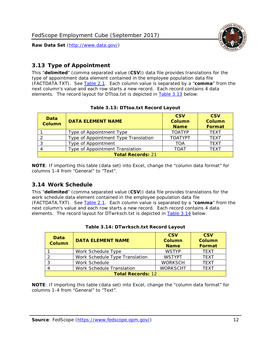

## <span id="page-12-0"></span>*3.13 Type of Appointment*

This "**delimited**" (comma separated value (**CSV**)) data file provides translations for the type of appointment data element contained in the employee population data file (FACTDATA.TXT). See [Table 2.1.](#page-4-0) Each column value is separated by a "**comma**" from the next column's value and each row starts a new record. Each record contains 4 data elements. The record layout for DTtoa.txt is depicted in [Table 3.13](#page-12-2) below:

<span id="page-12-2"></span>

| Data<br>Column           | <b>DATA ELEMENT NAME</b>             | <b>CSV</b><br><b>Column</b><br><b>Name</b> | <b>CSV</b><br><b>Column</b><br>Format |  |
|--------------------------|--------------------------------------|--------------------------------------------|---------------------------------------|--|
|                          | Type of Appointment Type             | <b>TOATYP</b>                              | <b>TEXT</b>                           |  |
|                          | Type of Appointment Type Translation | <b>TOATYPT</b>                             | <b>TEXT</b>                           |  |
|                          | Type of Appointment                  | TOA                                        | <b>TEXT</b>                           |  |
|                          | Type of Appointment Translation      | TOAT                                       | <b>TFXT</b>                           |  |
| <b>Total Records: 21</b> |                                      |                                            |                                       |  |

#### **Table 3.13: DTtoa.txt Record Layout**

**NOTE**: If importing this table (data set) into Excel, change the "column data format" for columns 1-4 from "General" to "Text".

## <span id="page-12-1"></span>*3.14 Work Schedule*

This "**delimited**" (comma separated value (**CSV**)) data file provides translations for the work schedule data element contained in the employee population data file (FACTDATA.TXT). See [Table 2.1.](#page-4-0) Each column value is separated by a "**comma**" from the next column's value and each row starts a new record. Each record contains 4 data elements. The record layout for DTwrksch.txt is depicted in [Table 3.14](#page-12-3) below:

<span id="page-12-3"></span>

| Data<br><b>Column</b>    | <b>DATA ELEMENT NAME</b>       | <b>CSV</b><br><b>Column</b><br><b>Name</b> | <b>CSV</b><br><b>Column</b><br>Format |
|--------------------------|--------------------------------|--------------------------------------------|---------------------------------------|
|                          | Work Schedule Type             | <b>WSTYP</b>                               | <b>TEXT</b>                           |
|                          | Work Schedule Type Translation | <b>WSTYPT</b>                              | <b>TEXT</b>                           |
| 3                        | Work Schedule                  | <b>WORKSCH</b>                             | <b>TFXT</b>                           |
|                          | Work Schedule Translation      | <b>WORKSCHT</b>                            | <b>TEXT</b>                           |
| <b>Total Records: 12</b> |                                |                                            |                                       |

|  | Table 3.14: DTwrksch.txt Record Layout |  |
|--|----------------------------------------|--|
|  |                                        |  |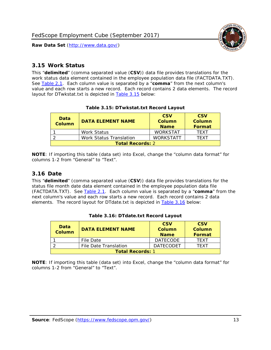

## <span id="page-13-0"></span>*3.15 Work Status*

This "**delimited**" (comma separated value (**CSV**)) data file provides translations for the work status data element contained in the employee population data file (FACTDATA.TXT). See [Table 2.1.](#page-4-0) Each column value is separated by a "**comma**" from the next column's value and each row starts a new record. Each record contains 2 data elements. The record layout for DTwkstat.txt is depicted in [Table 3.15](#page-13-2) below:

<span id="page-13-2"></span>

| Data<br><b>Column</b>   | <b>DATA ELEMENT NAME</b>       | <b>CSV</b><br>Column<br><b>Name</b> | <b>CSV</b><br>Column<br><b>Format</b> |
|-------------------------|--------------------------------|-------------------------------------|---------------------------------------|
|                         | <b>Work Status</b>             | <b>WORKSTAT</b>                     | TFXT                                  |
|                         | <b>Work Status Translation</b> | <b>WORKSTATT</b>                    | TFXT                                  |
| <b>Total Records: 2</b> |                                |                                     |                                       |

#### **Table 3.15: DTwkstat.txt Record Layout**

**NOTE**: If importing this table (data set) into Excel, change the "column data format" for columns 1-2 from "General" to "Text".

## <span id="page-13-1"></span>*3.16 Date*

This "**delimited**" (comma separated value (**CSV**)) data file provides translations for the status file month date data element contained in the employee population data file (FACTDATA.TXT). See [Table 2.1.](#page-4-0) Each column value is separated by a "**comma**" from the next column's value and each row starts a new record. Each record contains 2 data elements. The record layout for DTdate.txt is depicted in [Table 3.16](#page-13-3) below:

<span id="page-13-3"></span>

| Data<br>Column          | <b>DATA ELEMENT NAME</b> | <b>CSV</b><br>Column<br><b>Name</b> | <b>CSV</b><br>Column<br>Format |
|-------------------------|--------------------------|-------------------------------------|--------------------------------|
|                         | File Date                | <b>DATECODE</b>                     | <b>TFXT</b>                    |
|                         | File Date Translation    | <b>DATECODET</b>                    | TFXT                           |
| <b>Total Records: 1</b> |                          |                                     |                                |

|  |  | Table 3.16: DTdate.txt Record Layout |
|--|--|--------------------------------------|
|--|--|--------------------------------------|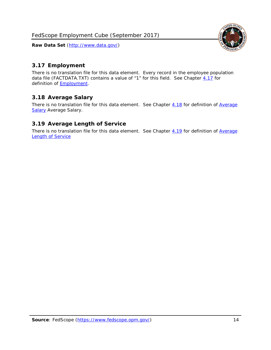<span id="page-14-0"></span>

There is no translation file for this data element. Every record in the employee population data file (FACTDATA.TXT) contains a value of "1" for this field. See Chapter [4.17](#page-16-8) for definition of [Employment.](#page-17-0)

## <span id="page-14-1"></span>*3.18 Average Salary*

There is no translation file for this data element. See Chapter [4.18](#page-17-1) for definition of Average [Salary](#page-17-1) [Average Salary.](#page-17-1)

## <span id="page-14-2"></span>*3.19 Average Length of Service*

There is no translation file for this data element. See Chapter [4.19](#page-17-2) for definition of Average [Length of Service](#page-17-2)

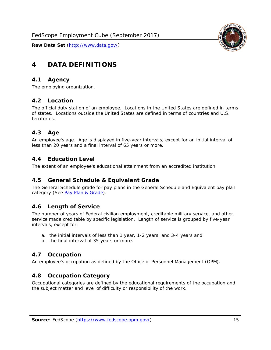<span id="page-15-0"></span>

## <span id="page-15-1"></span>*4.1 Agency*

<span id="page-15-2"></span>The employing organization.

## *4.2 Location*

The official duty station of an employee. Locations in the United States are defined in terms of states. Locations outside the United States are defined in terms of countries and U.S. territories.

## <span id="page-15-3"></span>*4.3 Age*

An employee's age. Age is displayed in five-year intervals, except for an initial interval of less than 20 years and a final interval of 65 years or more.

## <span id="page-15-4"></span>*4.4 Education Level*

<span id="page-15-5"></span>The extent of an employee's educational attainment from an accredited institution.

## *4.5 General Schedule & Equivalent Grade*

The General Schedule grade for pay plans in the General Schedule and Equivalent pay plan category (See [Pay Plan & Grade\)](#page-16-0).

## <span id="page-15-6"></span>*4.6 Length of Service*

The number of years of Federal civilian employment, creditable military service, and other service made creditable by specific legislation. Length of service is grouped by five-year intervals, except for:

- a. the initial intervals of less than 1 year, 1-2 years, and 3-4 years and
- b. the final interval of 35 years or more.

## <span id="page-15-7"></span>*4.7 Occupation*

<span id="page-15-8"></span>An employee's occupation as defined by the Office of Personnel Management (OPM).

## *4.8 Occupation Category*

Occupational categories are defined by the educational requirements of the occupation and the subject matter and level of difficulty or responsibility of the work.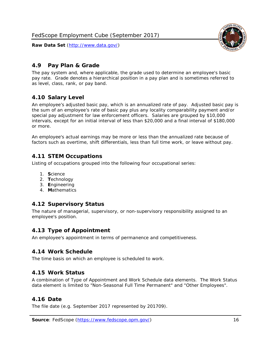## <span id="page-16-0"></span>*4.9 Pay Plan & Grade*

The pay system and, where applicable, the grade used to determine an employee's basic pay rate. Grade denotes a hierarchical position in a pay plan and is sometimes referred to as level, class, rank, or pay band.

## <span id="page-16-1"></span>*4.10 Salary Level*

An employee's adjusted basic pay, which is an annualized rate of pay. Adjusted basic pay is the sum of an employee's rate of basic pay plus any locality comparability payment and/or special pay adjustment for law enforcement officers. Salaries are grouped by \$10,000 intervals, except for an initial interval of less than \$20,000 and a final interval of \$180,000 or more.

An employee's actual earnings may be more or less than the annualized rate because of factors such as overtime, shift differentials, less than full time work, or leave without pay.

## <span id="page-16-2"></span>*4.11 STEM Occupations*

Listing of occupations grouped into the following four occupational series:

- 1. **S**cience
- 2. **T**echnology
- 3. **E**ngineering
- 4. **M**athematics

## <span id="page-16-3"></span>*4.12 Supervisory Status*

The nature of managerial, supervisory, or non-supervisory responsibility assigned to an employee's position.

## <span id="page-16-4"></span>*4.13 Type of Appointment*

<span id="page-16-5"></span>An employee's appointment in terms of permanence and competitiveness.

## *4.14 Work Schedule*

<span id="page-16-6"></span>The time basis on which an employee is scheduled to work.

## *4.15 Work Status*

A combination of Type of Appointment and Work Schedule data elements. The Work Status data element is limited to "Non-Seasonal Full Time Permanent" and "Other Employees".

## <span id="page-16-7"></span>*4.16 Date*

<span id="page-16-8"></span>The file date (e.g. September 2017 represented by 201709).

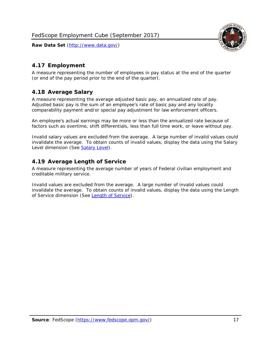<span id="page-17-0"></span>

A measure representing the number of employees in pay status at the end of the quarter (or end of the pay period prior to the end of the quarter).

## <span id="page-17-1"></span>*4.18 Average Salary*

A measure representing the average adjusted basic pay, an annualized rate of pay. Adjusted basic pay is the sum of an employee's rate of basic pay and any locality comparability payment and/or special pay adjustment for law enforcement officers.

An employee's actual earnings may be more or less than the annualized rate because of factors such as overtime, shift differentials, less than full time work, or leave without pay.

Invalid salary values are excluded from the average. A large number of invalid values could invalidate the average. To obtain counts of invalid values, display the data using the Salary Level dimension (See [Salary Level\)](#page-16-1).

## <span id="page-17-2"></span>*4.19 Average Length of Service*

A measure representing the average number of years of Federal civilian employment and creditable military service.

Invalid values are excluded from the average. A large number of invalid values could invalidate the average. To obtain counts of invalid values, display the data using the Length of Service dimension (See [Length of Service\)](#page-15-6).